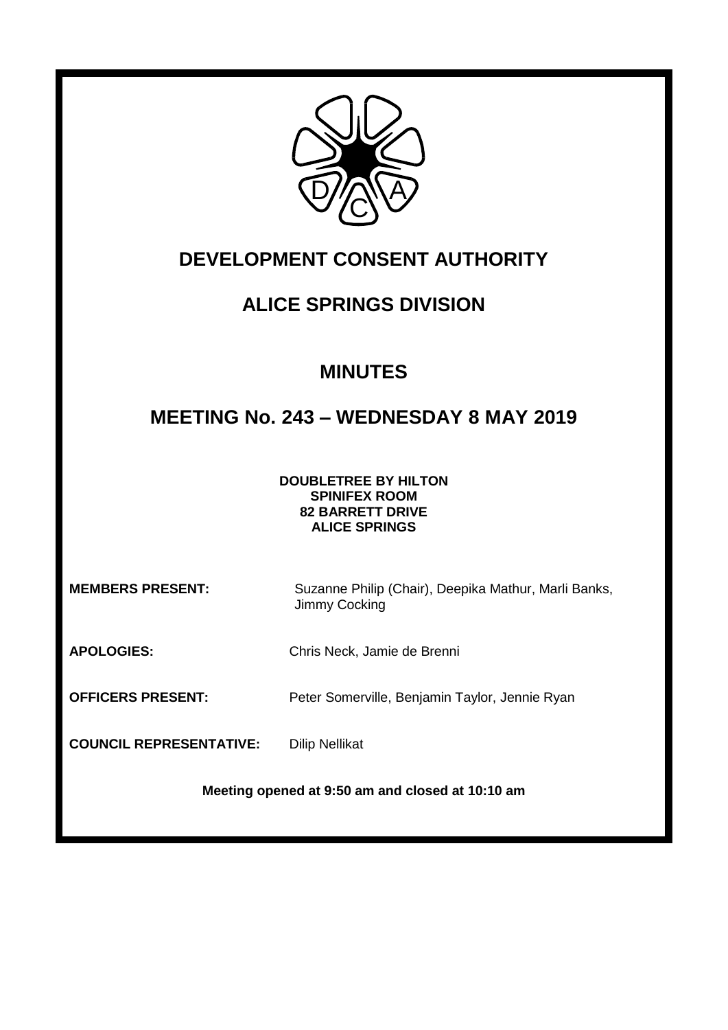

## **DEVELOPMENT CONSENT AUTHORITY**

# **ALICE SPRINGS DIVISION**

# **MINUTES**

# **MEETING No. 243 – WEDNESDAY 8 MAY 2019**

**DOUBLETREE BY HILTON SPINIFEX ROOM 82 BARRETT DRIVE ALICE SPRINGS**

**MEMBERS PRESENT:** Suzanne Philip (Chair), Deepika Mathur, Marli Banks, Jimmy Cocking

**APOLOGIES:** Chris Neck, Jamie de Brenni

**OFFICERS PRESENT:** Peter Somerville, Benjamin Taylor, Jennie Ryan

**COUNCIL REPRESENTATIVE:** Dilip Nellikat

**Meeting opened at 9:50 am and closed at 10:10 am**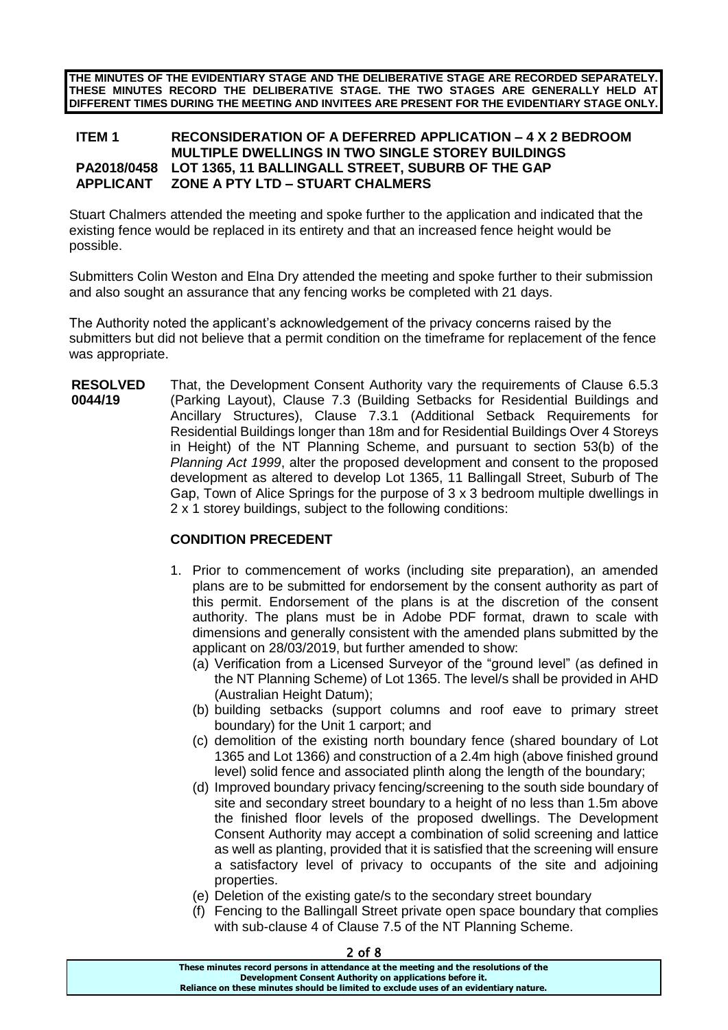**THE MINUTES OF THE EVIDENTIARY STAGE AND THE DELIBERATIVE STAGE ARE RECORDED SEPARATELY. THESE MINUTES RECORD THE DELIBERATIVE STAGE. THE TWO STAGES ARE GENERALLY HELD AT DIFFERENT TIMES DURING THE MEETING AND INVITEES ARE PRESENT FOR THE EVIDENTIARY STAGE ONLY.**

### **ITEM 1 RECONSIDERATION OF A DEFERRED APPLICATION – 4 X 2 BEDROOM MULTIPLE DWELLINGS IN TWO SINGLE STOREY BUILDINGS PA2018/0458 LOT 1365, 11 BALLINGALL STREET, SUBURB OF THE GAP APPLICANT ZONE A PTY LTD – STUART CHALMERS**

Stuart Chalmers attended the meeting and spoke further to the application and indicated that the existing fence would be replaced in its entirety and that an increased fence height would be possible.

Submitters Colin Weston and Elna Dry attended the meeting and spoke further to their submission and also sought an assurance that any fencing works be completed with 21 days.

The Authority noted the applicant's acknowledgement of the privacy concerns raised by the submitters but did not believe that a permit condition on the timeframe for replacement of the fence was appropriate.

**RESOLVED 0044/19** That, the Development Consent Authority vary the requirements of Clause 6.5.3 (Parking Layout), Clause 7.3 (Building Setbacks for Residential Buildings and Ancillary Structures), Clause 7.3.1 (Additional Setback Requirements for Residential Buildings longer than 18m and for Residential Buildings Over 4 Storeys in Height) of the NT Planning Scheme, and pursuant to section 53(b) of the *Planning Act 1999*, alter the proposed development and consent to the proposed development as altered to develop Lot 1365, 11 Ballingall Street, Suburb of The Gap, Town of Alice Springs for the purpose of 3 x 3 bedroom multiple dwellings in 2 x 1 storey buildings, subject to the following conditions:

### **CONDITION PRECEDENT**

- 1. Prior to commencement of works (including site preparation), an amended plans are to be submitted for endorsement by the consent authority as part of this permit. Endorsement of the plans is at the discretion of the consent authority. The plans must be in Adobe PDF format, drawn to scale with dimensions and generally consistent with the amended plans submitted by the applicant on 28/03/2019, but further amended to show:
	- (a) Verification from a Licensed Surveyor of the "ground level" (as defined in the NT Planning Scheme) of Lot 1365. The level/s shall be provided in AHD (Australian Height Datum);
	- (b) building setbacks (support columns and roof eave to primary street boundary) for the Unit 1 carport; and
	- (c) demolition of the existing north boundary fence (shared boundary of Lot 1365 and Lot 1366) and construction of a 2.4m high (above finished ground level) solid fence and associated plinth along the length of the boundary;
	- (d) Improved boundary privacy fencing/screening to the south side boundary of site and secondary street boundary to a height of no less than 1.5m above the finished floor levels of the proposed dwellings. The Development Consent Authority may accept a combination of solid screening and lattice as well as planting, provided that it is satisfied that the screening will ensure a satisfactory level of privacy to occupants of the site and adjoining properties.
	- (e) Deletion of the existing gate/s to the secondary street boundary
	- (f) Fencing to the Ballingall Street private open space boundary that complies with sub-clause 4 of Clause 7.5 of the NT Planning Scheme.

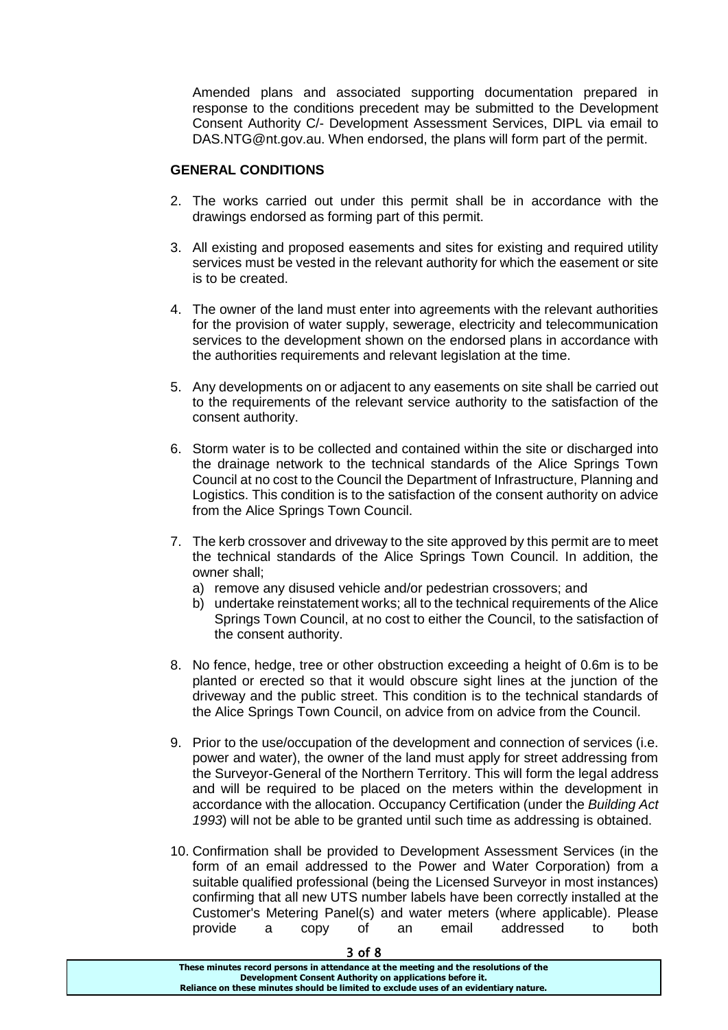Amended plans and associated supporting documentation prepared in response to the conditions precedent may be submitted to the Development Consent Authority C/- Development Assessment Services, DIPL via email to DAS.NTG@nt.gov.au. When endorsed, the plans will form part of the permit.

### **GENERAL CONDITIONS**

- 2. The works carried out under this permit shall be in accordance with the drawings endorsed as forming part of this permit.
- 3. All existing and proposed easements and sites for existing and required utility services must be vested in the relevant authority for which the easement or site is to be created.
- 4. The owner of the land must enter into agreements with the relevant authorities for the provision of water supply, sewerage, electricity and telecommunication services to the development shown on the endorsed plans in accordance with the authorities requirements and relevant legislation at the time.
- 5. Any developments on or adjacent to any easements on site shall be carried out to the requirements of the relevant service authority to the satisfaction of the consent authority.
- 6. Storm water is to be collected and contained within the site or discharged into the drainage network to the technical standards of the Alice Springs Town Council at no cost to the Council the Department of Infrastructure, Planning and Logistics. This condition is to the satisfaction of the consent authority on advice from the Alice Springs Town Council.
- 7. The kerb crossover and driveway to the site approved by this permit are to meet the technical standards of the Alice Springs Town Council. In addition, the owner shall;
	- a) remove any disused vehicle and/or pedestrian crossovers; and
	- b) undertake reinstatement works; all to the technical requirements of the Alice Springs Town Council, at no cost to either the Council, to the satisfaction of the consent authority.
- 8. No fence, hedge, tree or other obstruction exceeding a height of 0.6m is to be planted or erected so that it would obscure sight lines at the junction of the driveway and the public street. This condition is to the technical standards of the Alice Springs Town Council, on advice from on advice from the Council.
- 9. Prior to the use/occupation of the development and connection of services (i.e. power and water), the owner of the land must apply for street addressing from the Surveyor-General of the Northern Territory. This will form the legal address and will be required to be placed on the meters within the development in accordance with the allocation. Occupancy Certification (under the *Building Act 1993*) will not be able to be granted until such time as addressing is obtained.
- 10. Confirmation shall be provided to Development Assessment Services (in the form of an email addressed to the Power and Water Corporation) from a suitable qualified professional (being the Licensed Surveyor in most instances) confirming that all new UTS number labels have been correctly installed at the Customer's Metering Panel(s) and water meters (where applicable). Please provide a copy of an email addressed to both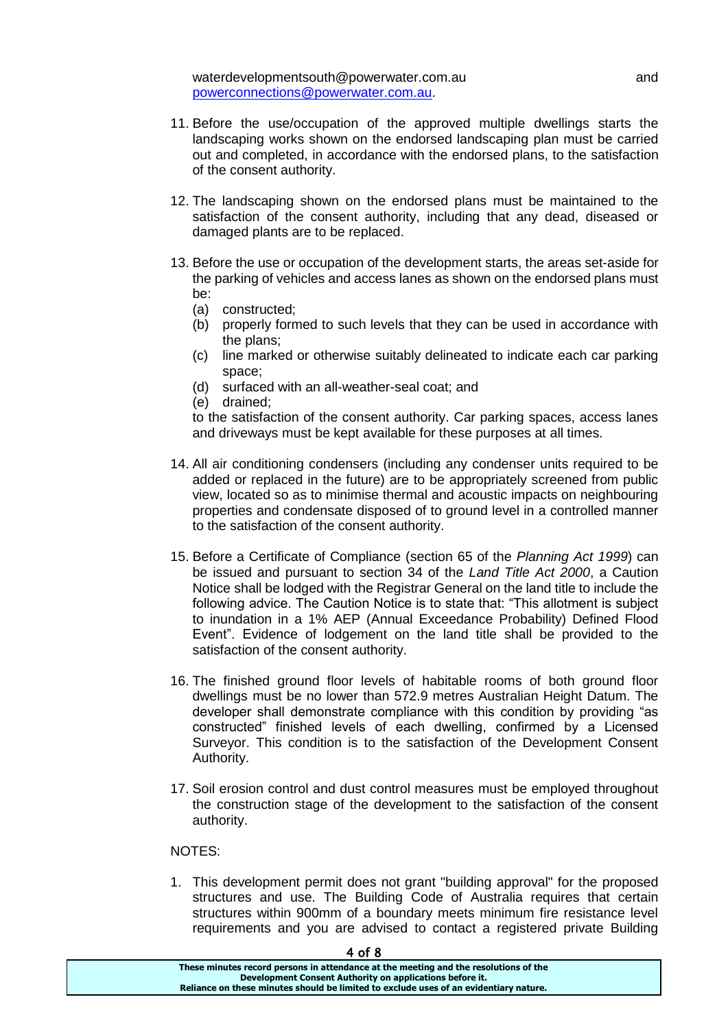waterdevelopmentsouth@powerwater.com.au button and and [powerconnections@powerwater.com.au.](mailto:powerconnections@powerwater.com.au)

- 11. Before the use/occupation of the approved multiple dwellings starts the landscaping works shown on the endorsed landscaping plan must be carried out and completed, in accordance with the endorsed plans, to the satisfaction of the consent authority.
- 12. The landscaping shown on the endorsed plans must be maintained to the satisfaction of the consent authority, including that any dead, diseased or damaged plants are to be replaced.
- 13. Before the use or occupation of the development starts, the areas set-aside for the parking of vehicles and access lanes as shown on the endorsed plans must be:
	- (a) constructed;
	- (b) properly formed to such levels that they can be used in accordance with the plans;
	- (c) line marked or otherwise suitably delineated to indicate each car parking space;
	- (d) surfaced with an all-weather-seal coat; and
	- (e) drained;

to the satisfaction of the consent authority. Car parking spaces, access lanes and driveways must be kept available for these purposes at all times.

- 14. All air conditioning condensers (including any condenser units required to be added or replaced in the future) are to be appropriately screened from public view, located so as to minimise thermal and acoustic impacts on neighbouring properties and condensate disposed of to ground level in a controlled manner to the satisfaction of the consent authority.
- 15. Before a Certificate of Compliance (section 65 of the *Planning Act 1999*) can be issued and pursuant to section 34 of the *Land Title Act 2000*, a Caution Notice shall be lodged with the Registrar General on the land title to include the following advice. The Caution Notice is to state that: "This allotment is subject to inundation in a 1% AEP (Annual Exceedance Probability) Defined Flood Event". Evidence of lodgement on the land title shall be provided to the satisfaction of the consent authority.
- 16. The finished ground floor levels of habitable rooms of both ground floor dwellings must be no lower than 572.9 metres Australian Height Datum. The developer shall demonstrate compliance with this condition by providing "as constructed" finished levels of each dwelling, confirmed by a Licensed Surveyor. This condition is to the satisfaction of the Development Consent Authority.
- 17. Soil erosion control and dust control measures must be employed throughout the construction stage of the development to the satisfaction of the consent authority.

#### NOTES:

1. This development permit does not grant "building approval" for the proposed structures and use. The Building Code of Australia requires that certain structures within 900mm of a boundary meets minimum fire resistance level requirements and you are advised to contact a registered private Building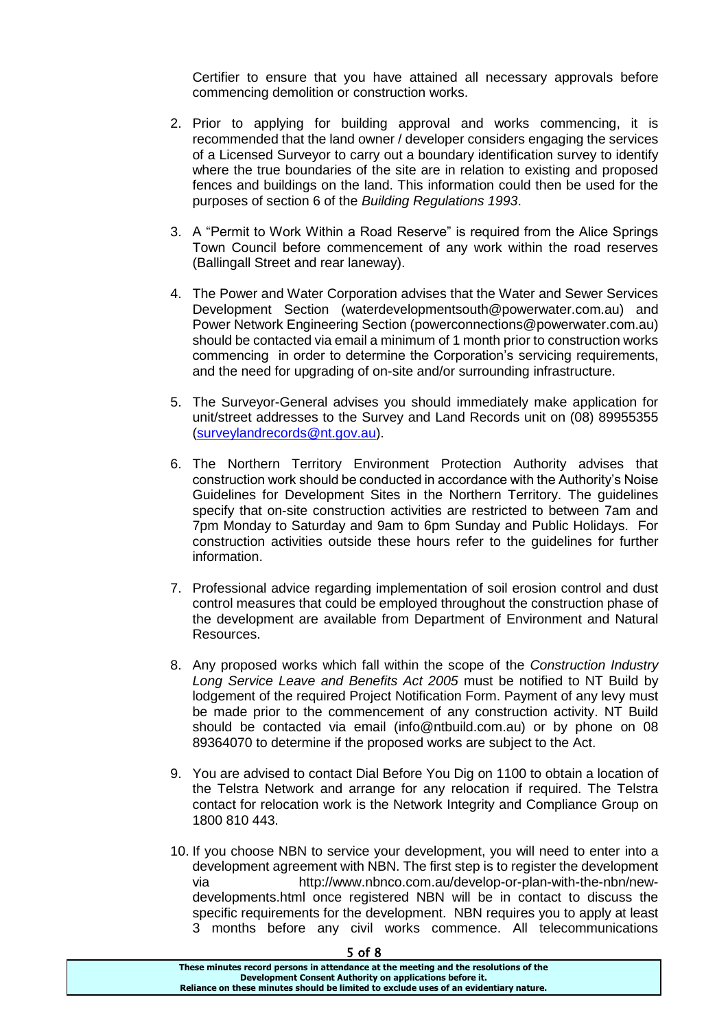Certifier to ensure that you have attained all necessary approvals before commencing demolition or construction works.

- 2. Prior to applying for building approval and works commencing, it is recommended that the land owner / developer considers engaging the services of a Licensed Surveyor to carry out a boundary identification survey to identify where the true boundaries of the site are in relation to existing and proposed fences and buildings on the land. This information could then be used for the purposes of section 6 of the *Building Regulations 1993*.
- 3. A "Permit to Work Within a Road Reserve" is required from the Alice Springs Town Council before commencement of any work within the road reserves (Ballingall Street and rear laneway).
- 4. The Power and Water Corporation advises that the Water and Sewer Services Development Section (waterdevelopmentsouth@powerwater.com.au) and Power Network Engineering Section (powerconnections@powerwater.com.au) should be contacted via email a minimum of 1 month prior to construction works commencing in order to determine the Corporation's servicing requirements, and the need for upgrading of on-site and/or surrounding infrastructure.
- 5. The Surveyor-General advises you should immediately make application for unit/street addresses to the Survey and Land Records unit on (08) 89955355 [\(surveylandrecords@nt.gov.au\)](mailto:surveylandrecords@nt.gov.au).
- 6. The Northern Territory Environment Protection Authority advises that construction work should be conducted in accordance with the Authority's Noise Guidelines for Development Sites in the Northern Territory. The guidelines specify that on-site construction activities are restricted to between 7am and 7pm Monday to Saturday and 9am to 6pm Sunday and Public Holidays. For construction activities outside these hours refer to the guidelines for further information.
- 7. Professional advice regarding implementation of soil erosion control and dust control measures that could be employed throughout the construction phase of the development are available from Department of Environment and Natural Resources.
- 8. Any proposed works which fall within the scope of the *Construction Industry Long Service Leave and Benefits Act 2005* must be notified to NT Build by lodgement of the required Project Notification Form. Payment of any levy must be made prior to the commencement of any construction activity. NT Build should be contacted via email (info@ntbuild.com.au) or by phone on 08 89364070 to determine if the proposed works are subject to the Act.
- 9. You are advised to contact Dial Before You Dig on 1100 to obtain a location of the Telstra Network and arrange for any relocation if required. The Telstra contact for relocation work is the Network Integrity and Compliance Group on 1800 810 443.
- 10. If you choose NBN to service your development, you will need to enter into a development agreement with NBN. The first step is to register the development via http://www.nbnco.com.au/develop-or-plan-with-the-nbn/newdevelopments.html once registered NBN will be in contact to discuss the specific requirements for the development. NBN requires you to apply at least 3 months before any civil works commence. All telecommunications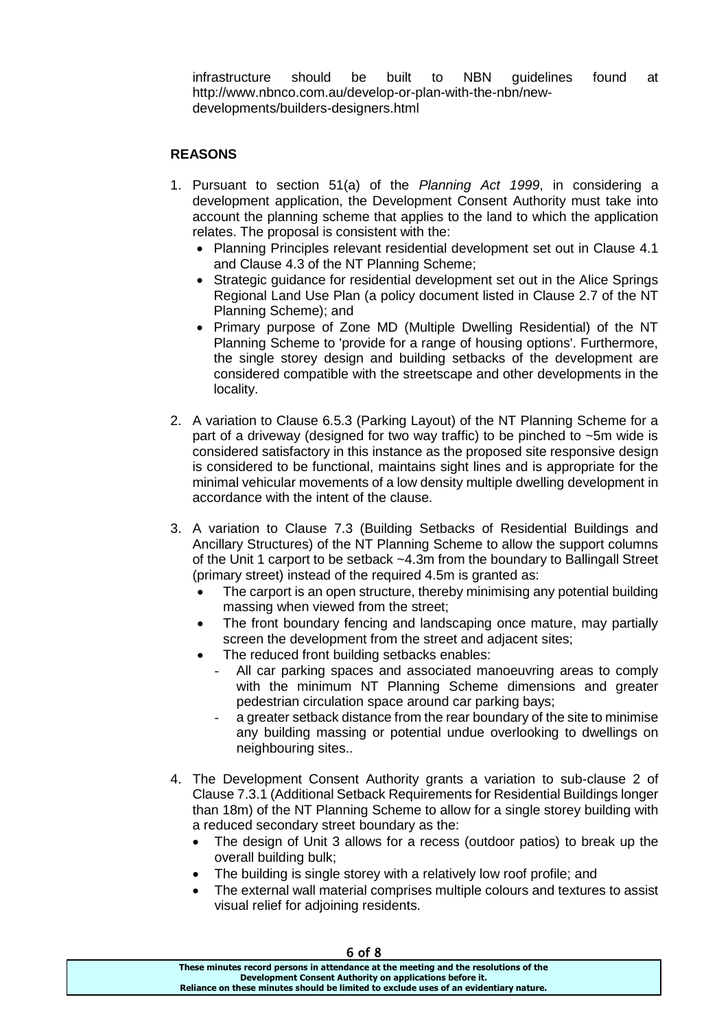infrastructure should be built to NBN guidelines found at http://www.nbnco.com.au/develop-or-plan-with-the-nbn/newdevelopments/builders-designers.html

### **REASONS**

- 1. Pursuant to section 51(a) of the *Planning Act 1999*, in considering a development application, the Development Consent Authority must take into account the planning scheme that applies to the land to which the application relates. The proposal is consistent with the:
	- Planning Principles relevant residential development set out in Clause 4.1 and Clause 4.3 of the NT Planning Scheme;
	- Strategic guidance for residential development set out in the Alice Springs Regional Land Use Plan (a policy document listed in Clause 2.7 of the NT Planning Scheme); and
	- Primary purpose of Zone MD (Multiple Dwelling Residential) of the NT Planning Scheme to 'provide for a range of housing options'. Furthermore, the single storey design and building setbacks of the development are considered compatible with the streetscape and other developments in the locality.
- 2. A variation to Clause 6.5.3 (Parking Layout) of the NT Planning Scheme for a part of a driveway (designed for two way traffic) to be pinched to ~5m wide is considered satisfactory in this instance as the proposed site responsive design is considered to be functional, maintains sight lines and is appropriate for the minimal vehicular movements of a low density multiple dwelling development in accordance with the intent of the clause.
- 3. A variation to Clause 7.3 (Building Setbacks of Residential Buildings and Ancillary Structures) of the NT Planning Scheme to allow the support columns of the Unit 1 carport to be setback ~4.3m from the boundary to Ballingall Street (primary street) instead of the required 4.5m is granted as:
	- The carport is an open structure, thereby minimising any potential building massing when viewed from the street;
	- The front boundary fencing and landscaping once mature, may partially screen the development from the street and adjacent sites;
	- The reduced front building setbacks enables:
		- All car parking spaces and associated manoeuvring areas to comply with the minimum NT Planning Scheme dimensions and greater pedestrian circulation space around car parking bays;
		- a greater setback distance from the rear boundary of the site to minimise any building massing or potential undue overlooking to dwellings on neighbouring sites..
- 4. The Development Consent Authority grants a variation to sub-clause 2 of Clause 7.3.1 (Additional Setback Requirements for Residential Buildings longer than 18m) of the NT Planning Scheme to allow for a single storey building with a reduced secondary street boundary as the:
	- The design of Unit 3 allows for a recess (outdoor patios) to break up the overall building bulk;
	- The building is single storey with a relatively low roof profile; and
	- The external wall material comprises multiple colours and textures to assist visual relief for adjoining residents.

| 6 of 8                                                                                |  |
|---------------------------------------------------------------------------------------|--|
| These minutes record persons in attendance at the meeting and the resolutions of the  |  |
| Development Consent Authority on applications before it.                              |  |
| Reliance on these minutes should be limited to exclude uses of an evidentiary nature. |  |
|                                                                                       |  |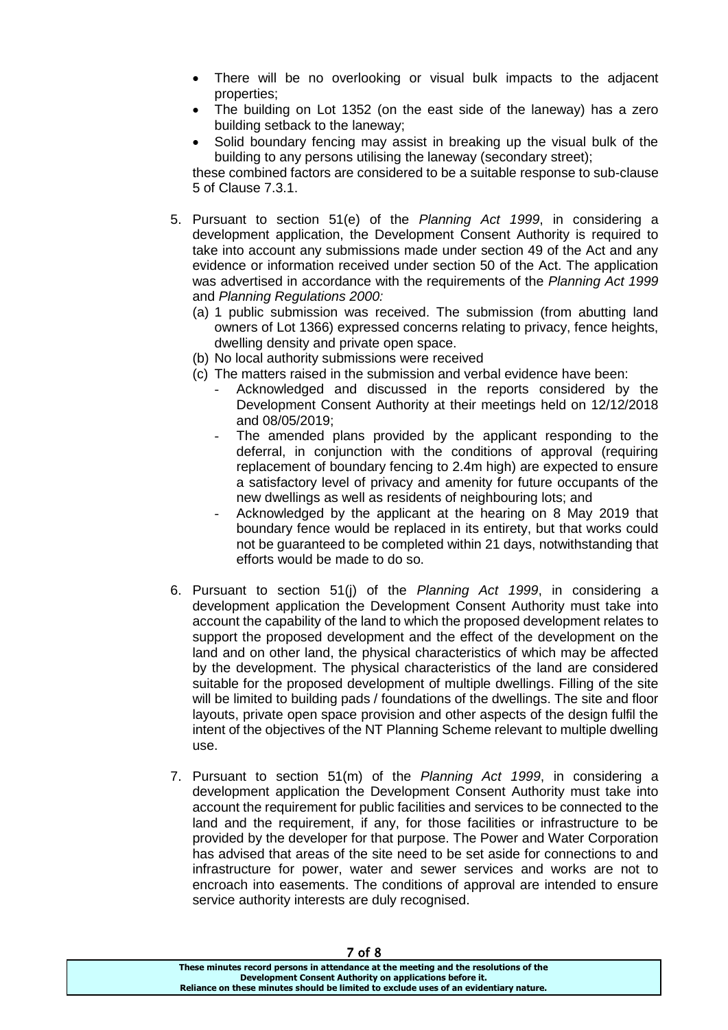- There will be no overlooking or visual bulk impacts to the adjacent properties;
- The building on Lot 1352 (on the east side of the laneway) has a zero building setback to the laneway;
- Solid boundary fencing may assist in breaking up the visual bulk of the building to any persons utilising the laneway (secondary street);

these combined factors are considered to be a suitable response to sub-clause 5 of Clause 7.3.1.

- 5. Pursuant to section 51(e) of the *Planning Act 1999*, in considering a development application, the Development Consent Authority is required to take into account any submissions made under section 49 of the Act and any evidence or information received under section 50 of the Act. The application was advertised in accordance with the requirements of the *Planning Act 1999* and *Planning Regulations 2000:*
	- (a) 1 public submission was received. The submission (from abutting land owners of Lot 1366) expressed concerns relating to privacy, fence heights, dwelling density and private open space.
	- (b) No local authority submissions were received
	- (c) The matters raised in the submission and verbal evidence have been:
		- Acknowledged and discussed in the reports considered by the Development Consent Authority at their meetings held on 12/12/2018 and 08/05/2019;
		- The amended plans provided by the applicant responding to the deferral, in conjunction with the conditions of approval (requiring replacement of boundary fencing to 2.4m high) are expected to ensure a satisfactory level of privacy and amenity for future occupants of the new dwellings as well as residents of neighbouring lots; and
		- Acknowledged by the applicant at the hearing on 8 May 2019 that boundary fence would be replaced in its entirety, but that works could not be guaranteed to be completed within 21 days, notwithstanding that efforts would be made to do so.
- 6. Pursuant to section 51(j) of the *Planning Act 1999*, in considering a development application the Development Consent Authority must take into account the capability of the land to which the proposed development relates to support the proposed development and the effect of the development on the land and on other land, the physical characteristics of which may be affected by the development. The physical characteristics of the land are considered suitable for the proposed development of multiple dwellings. Filling of the site will be limited to building pads / foundations of the dwellings. The site and floor layouts, private open space provision and other aspects of the design fulfil the intent of the objectives of the NT Planning Scheme relevant to multiple dwelling use.
- 7. Pursuant to section 51(m) of the *Planning Act 1999*, in considering a development application the Development Consent Authority must take into account the requirement for public facilities and services to be connected to the land and the requirement, if any, for those facilities or infrastructure to be provided by the developer for that purpose. The Power and Water Corporation has advised that areas of the site need to be set aside for connections to and infrastructure for power, water and sewer services and works are not to encroach into easements. The conditions of approval are intended to ensure service authority interests are duly recognised.